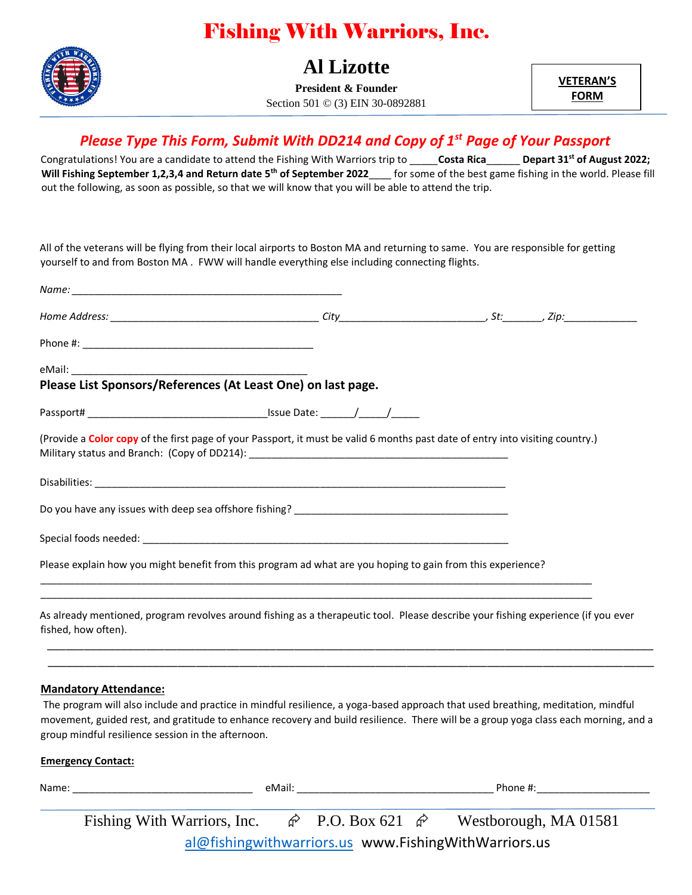# Fishing With Warriors, Inc.



### **Al Lizotte**

**President & Founder** Section 501 © (3) EIN 30-0892881 **VETERAN'S FORM**

### *Please Type This Form, Submit With DD214 and Copy of 1st Page of Your Passport*

Congratulations! You are a candidate to attend the Fishing With Warriors trip to \_\_\_\_\_**Costa Rica**\_\_\_\_\_\_ **Depart 31st of August 2022; Will Fishing September 1,2,3,4 and Return date 5th of September 2022**\_\_\_\_ for some of the best game fishing in the world. Please fill out the following, as soon as possible, so that we will know that you will be able to attend the trip.

All of the veterans will be flying from their local airports to Boston MA and returning to same. You are responsible for getting yourself to and from Boston MA . FWW will handle everything else including connecting flights.

| Please List Sponsors/References (At Least One) on last page.                                                                                             |  |  |  |
|----------------------------------------------------------------------------------------------------------------------------------------------------------|--|--|--|
|                                                                                                                                                          |  |  |  |
| (Provide a Color copy of the first page of your Passport, it must be valid 6 months past date of entry into visiting country.)                           |  |  |  |
|                                                                                                                                                          |  |  |  |
|                                                                                                                                                          |  |  |  |
|                                                                                                                                                          |  |  |  |
| Please explain how you might benefit from this program ad what are you hoping to gain from this experience?                                              |  |  |  |
| As already mentioned, program revolves around fishing as a therapeutic tool. Please describe your fishing experience (if you ever<br>fished, how often). |  |  |  |

#### **Mandatory Attendance:**

The program will also include and practice in mindful resilience, a yoga-based approach that used breathing, meditation, mindful movement, guided rest, and gratitude to enhance recovery and build resilience. There will be a group yoga class each morning, and a group mindful resilience session in the afternoon.

\_\_\_\_\_\_\_\_\_\_\_\_\_\_\_\_\_\_\_\_\_\_\_\_\_\_\_\_\_\_\_\_\_\_\_\_\_\_\_\_\_\_\_\_\_\_\_\_\_\_\_\_\_\_\_\_\_\_\_\_\_\_\_\_\_\_\_\_\_\_\_\_\_\_\_\_\_\_\_\_\_\_\_\_\_\_\_\_\_\_\_\_\_\_\_\_\_\_

#### **Emergency Contact:**

| Name: |                                                      | eMail: |                                                      |  | Phone #:              |  |  |  |
|-------|------------------------------------------------------|--------|------------------------------------------------------|--|-----------------------|--|--|--|
|       | Fishing With Warriors, Inc.                          |        | $\hat{\mathcal{C}}$ P.O. Box 621 $\hat{\mathcal{C}}$ |  | Westborough, MA 01581 |  |  |  |
|       | al@fishingwithwarriors.us www.FishingWithWarriors.us |        |                                                      |  |                       |  |  |  |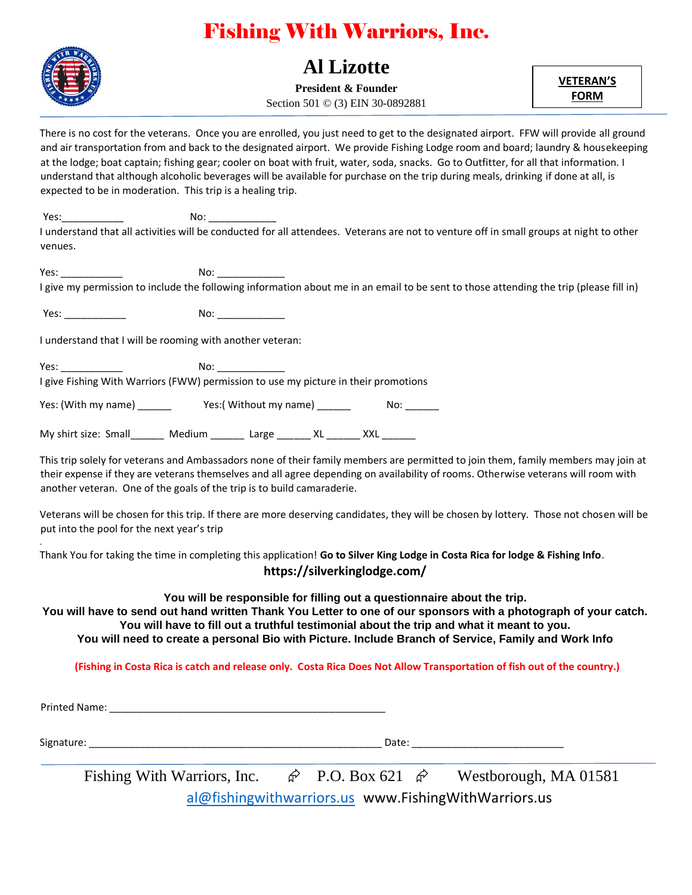# Fishing With Warriors, Inc.



### **Al Lizotte**

**President & Founder** Section 501 © (3) EIN 30-0892881 **VETERAN'S FORM**

There is no cost for the veterans. Once you are enrolled, you just need to get to the designated airport. FFW will provide all ground and air transportation from and back to the designated airport. We provide Fishing Lodge room and board; laundry & housekeeping at the lodge; boat captain; fishing gear; cooler on boat with fruit, water, soda, snacks. Go to Outfitter, for all that information. I understand that although alcoholic beverages will be available for purchase on the trip during meals, drinking if done at all, is expected to be in moderation. This trip is a healing trip.

Yes:\_\_\_\_\_\_\_\_\_\_\_ No: \_\_\_\_\_\_\_\_\_\_\_\_ I understand that all activities will be conducted for all attendees. Veterans are not to venture off in small groups at night to other venues.

Yes: \_\_\_\_\_\_\_\_\_\_\_ No: \_\_\_\_\_\_\_\_\_\_\_\_ I give my permission to include the following information about me in an email to be sent to those attending the trip (please fill in)

Yes: \_\_\_\_\_\_\_\_\_\_\_ No: \_\_\_\_\_\_\_\_\_\_\_\_

I understand that I will be rooming with another veteran:

Yes: which is a set of the No:  $\blacksquare$ 

I give Fishing With Warriors (FWW) permission to use my picture in their promotions

Yes: (With my name) \_\_\_\_\_\_\_ Yes: (Without my name) \_\_\_\_\_\_ No: \_\_\_\_\_

My shirt size: Small \_\_\_\_\_\_ Medium \_\_\_\_\_\_ Large \_\_\_\_\_\_ XL \_\_\_\_\_ XXL

This trip solely for veterans and Ambassadors none of their family members are permitted to join them, family members may join at their expense if they are veterans themselves and all agree depending on availability of rooms. Otherwise veterans will room with another veteran. One of the goals of the trip is to build camaraderie.

Veterans will be chosen for this trip. If there are more deserving candidates, they will be chosen by lottery. Those not chosen will be put into the pool for the next year's trip

Thank You for taking the time in completing this application! **Go to Silver King Lodge in Costa Rica for lodge & Fishing Info**. **https://silverkinglodge.com/**

**You will be responsible for filling out a questionnaire about the trip.**

**You will have to send out hand written Thank You Letter to one of our sponsors with a photograph of your catch. You will have to fill out a truthful testimonial about the trip and what it meant to you. You will need to create a personal Bio with Picture. Include Branch of Service, Family and Work Info**

**(Fishing in Costa Rica is catch and release only. Costa Rica Does Not Allow Transportation of fish out of the country.)**

Printed Name: \_\_\_\_\_\_\_\_\_\_\_\_\_\_\_\_\_\_\_\_\_\_\_\_\_\_\_\_\_\_\_\_\_\_\_\_\_\_\_\_\_\_\_\_\_\_\_\_\_

Signature: \_\_\_\_\_\_\_\_\_\_\_\_\_\_\_\_\_\_\_\_\_\_\_\_\_\_\_\_\_\_\_\_\_\_\_\_\_\_\_\_\_\_\_\_\_\_\_\_\_\_\_\_ Date: \_\_\_\_\_\_\_\_\_\_\_\_\_\_\_\_\_\_\_\_\_\_\_\_\_\_\_

.

Fishing With Warriors, Inc.  $\hat{\varphi}$  P.O. Box 621  $\hat{\varphi}$  Westborough, MA 01581

[al@fishingwithwarriors.us](mailto:al@fishingwithwarriors.us) www.FishingWithWarriors.us